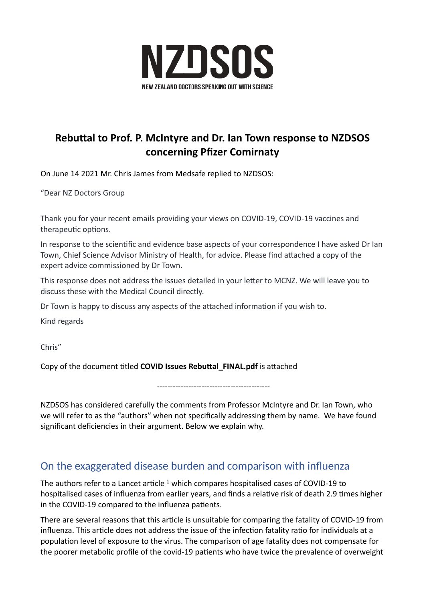

# **Rebuttal to Prof. P. McIntyre and Dr. Ian Town response to NZDSOS concerning Pfizer Comirnaty**

On June 14 2021 Mr. Chris James from Medsafe replied to NZDSOS:

"Dear NZ Doctors Group

Thank you for your recent emails providing your views on COVID-19, COVID-19 vaccines and therapeutic options.

In response to the scientific and evidence base aspects of your correspondence I have asked Dr Ian Town, Chief Science Advisor Ministry of Health, for advice. Please find attached a copy of the expert advice commissioned by Dr Town.

This response does not address the issues detailed in your letter to MCNZ. We will leave you to discuss these with the Medical Council directly.

Dr Town is happy to discuss any aspects of the attached information if you wish to.

Kind regards

Chris"

Copy of the document titled **COVID Issues Rebuttal\_FINAL.pdf** is attached

-------------------------------------------

NZDSOS has considered carefully the comments from Professor McIntyre and Dr. Ian Town, who we will refer to as the "authors" when not specifically addressing them by name. We have found significant deficiencies in their argument. Below we explain why.

## On the exaggerated disease burden and comparison with influenza

The authors refer to a Lancet article <sup>1</sup> which compares hospitalised cases of COVID-19 to hospitalised cases of influenza from earlier years, and finds a relative risk of death 2.9 times higher in the COVID-19 compared to the influenza patients.

There are several reasons that this article is unsuitable for comparing the fatality of COVID-19 from influenza. This article does not address the issue of the infection fatality ratio for individuals at a population level of exposure to the virus. The comparison of age fatality does not compensate for the poorer metabolic profile of the covid-19 patients who have twice the prevalence of overweight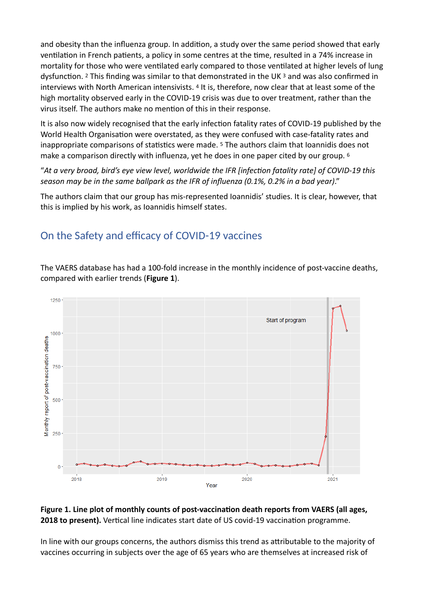and obesity than the influenza group. In addition, a study over the same period showed that early ventilation in French patients, a policy in some centres at the time, resulted in a 74% increase in mortality for those who were ventilated early compared to those ventilated at higher levels of lung dysfunction. 2 This finding was similar to that demonstrated in the UK 3 and was also confirmed in interviews with North American intensivists. 4 It is, therefore, now clear that at least some of the high mortality observed early in the COVID-19 crisis was due to over treatment, rather than the virus itself. The authors make no mention of this in their response.

It is also now widely recognised that the early infection fatality rates of COVID-19 published by the World Health Organisation were overstated, as they were confused with case-fatality rates and inappropriate comparisons of statistics were made. 5 The authors claim that Ioannidis does not make a comparison directly with influenza, yet he does in one paper cited by our group. 6

"*At a very broad, bird's eye view level, worldwide the IFR [infection fatality rate] of COVID-19 this season may be in the same ballpark as the IFR of influenza (0.1%, 0.2% in a bad year)*."

The authors claim that our group has mis-represented Ioannidis' studies. It is clear, however, that this is implied by his work, as Ioannidis himself states.

# On the Safety and efficacy of COVID-19 vaccines

The VAERS database has had a 100-fold increase in the monthly incidence of post-vaccine deaths, compared with earlier trends (**Figure 1**).



#### **Figure 1. Line plot of monthly counts of post-vaccination death reports from VAERS (all ages, 2018 to present).** Vertical line indicates start date of US covid-19 vaccination programme.

In line with our groups concerns, the authors dismiss this trend as attributable to the majority of vaccines occurring in subjects over the age of 65 years who are themselves at increased risk of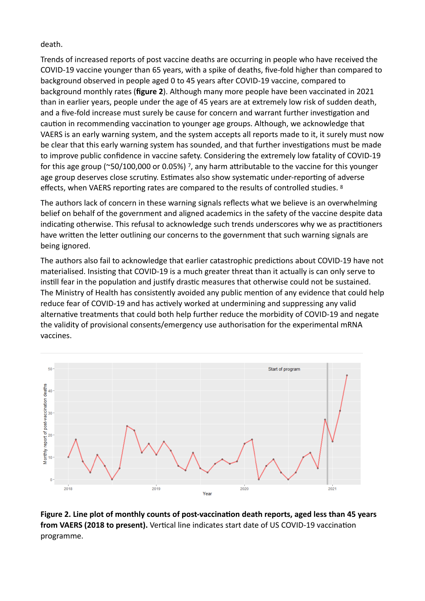death.

Trends of increased reports of post vaccine deaths are occurring in people who have received the COVID-19 vaccine younger than 65 years, with a spike of deaths, five-fold higher than compared to background observed in people aged 0 to 45 years after COVID-19 vaccine, compared to background monthly rates (**figure 2**). Although many more people have been vaccinated in 2021 than in earlier years, people under the age of 45 years are at extremely low risk of sudden death, and a five-fold increase must surely be cause for concern and warrant further investigation and caution in recommending vaccination to younger age groups. Although, we acknowledge that VAERS is an early warning system, and the system accepts all reports made to it, it surely must now be clear that this early warning system has sounded, and that further investigations must be made to improve public confidence in vaccine safety. Considering the extremely low fatality of COVID-19 for this age group (~50/100,000 or 0.05%) 7, any harm attributable to the vaccine for this younger age group deserves close scrutiny. Estimates also show systematic under-reporting of adverse effects, when VAERS reporting rates are compared to the results of controlled studies. 8

The authors lack of concern in these warning signals reflects what we believe is an overwhelming belief on behalf of the government and aligned academics in the safety of the vaccine despite data indicating otherwise. This refusal to acknowledge such trends underscores why we as practitioners have written the letter outlining our concerns to the government that such warning signals are being ignored.

The authors also fail to acknowledge that earlier catastrophic predictions about COVID-19 have not materialised. Insisting that COVID-19 is a much greater threat than it actually is can only serve to instill fear in the population and justify drastic measures that otherwise could not be sustained. The Ministry of Health has consistently avoided any public mention of any evidence that could help reduce fear of COVID-19 and has actively worked at undermining and suppressing any valid alternative treatments that could both help further reduce the morbidity of COVID-19 and negate the validity of provisional consents/emergency use authorisation for the experimental mRNA vaccines.



**Figure 2. Line plot of monthly counts of post-vaccination death reports, aged less than 45 years from VAERS (2018 to present).** Vertical line indicates start date of US COVID-19 vaccination programme.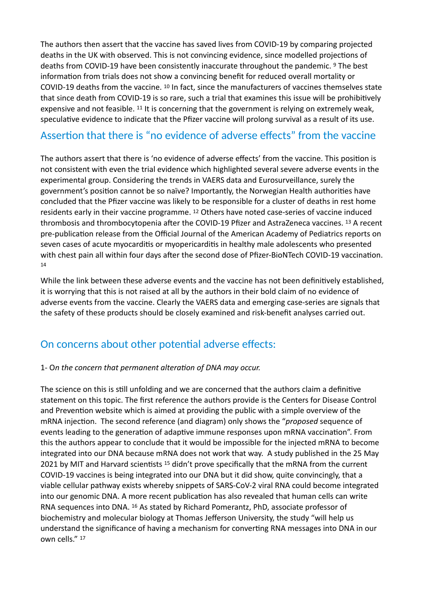The authors then assert that the vaccine has saved lives from COVID-19 by comparing projected deaths in the UK with observed. This is not convincing evidence, since modelled projections of deaths from COVID-19 have been consistently inaccurate throughout the pandemic. <sup>9</sup> The best information from trials does not show a convincing benefit for reduced overall mortality or COVID-19 deaths from the vaccine. 10 In fact, since the manufacturers of vaccines themselves state that since death from COVID-19 is so rare, such a trial that examines this issue will be prohibitively expensive and not feasible. 11 It is concerning that the government is relying on extremely weak, speculative evidence to indicate that the Pfizer vaccine will prolong survival as a result of its use.

# Assertion that there is "no evidence of adverse effects" from the vaccine

The authors assert that there is 'no evidence of adverse effects' from the vaccine. This position is not consistent with even the trial evidence which highlighted several severe adverse events in the experimental group. Considering the trends in VAERS data and Eurosurveillance, surely the government's position cannot be so naïve? Importantly, the Norwegian Health authorities have concluded that the Pfizer vaccine was likely to be responsible for a cluster of deaths in rest home residents early in their vaccine programme. 12 Others have noted case-series of vaccine induced thrombosis and thrombocytopenia after the COVID-19 Pfizer and AstraZeneca vaccines. 13 A recent pre-publication release from the Official Journal of the American Academy of Pediatrics reports on seven cases of acute myocarditis or myopericarditis in healthy male adolescents who presented with chest pain all within four days after the second dose of Pfizer-BioNTech COVID-19 vaccination. 14

While the link between these adverse events and the vaccine has not been definitively established, it is worrying that this is not raised at all by the authors in their bold claim of no evidence of adverse events from the vaccine. Clearly the VAERS data and emerging case-series are signals that the safety of these products should be closely examined and risk-benefit analyses carried out.

# On concerns about other potential adverse effects:

#### 1- O*n the concern that permanent alteration of DNA may occur.*

The science on this is still unfolding and we are concerned that the authors claim a definitive statement on this topic. The first reference the authors provide is the Centers for Disease Control and Prevention website which is aimed at providing the public with a simple overview of the mRNA injection. The second reference (and diagram) only shows the "*proposed* sequence of events leading to the generation of adaptive immune responses upon mRNA vaccination". From this the authors appear to conclude that it would be impossible for the injected mRNA to become integrated into our DNA because mRNA does not work that way. A study published in the 25 May 2021 by MIT and Harvard scientists <sup>15</sup> didn't prove specifically that the mRNA from the current COVID-19 vaccines is being integrated into our DNA but it did show, quite convincingly, that a viable cellular pathway exists whereby snippets of SARS-CoV-2 viral RNA could become integrated into our genomic DNA. A more recent publication has also revealed that human cells can write RNA sequences into DNA. 16 As stated by Richard Pomerantz, PhD, associate professor of biochemistry and molecular biology at Thomas Jefferson University, the study "will help us understand the significance of having a mechanism for converting RNA messages into DNA in our own cells." 17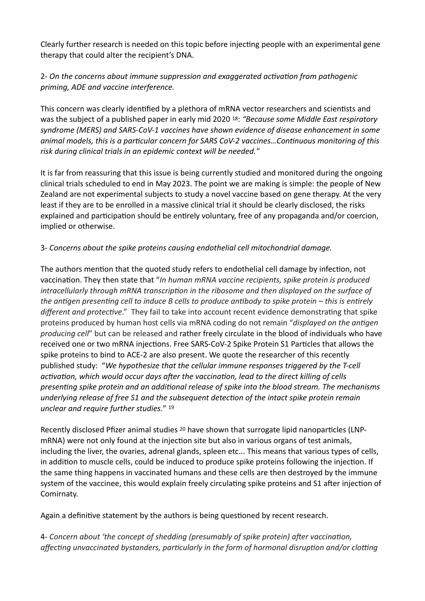Clearly further research is needed on this topic before injecting people with an experimental gene therapy that could alter the recipient's DNA.

### 2- *On the concerns about immune suppression and exaggerated activation from pathogenic priming, ADE and vaccine interference.*

This concern was clearly identified by a plethora of mRNA vector researchers and scientists and was the subject of a published paper in early mid 2020 18: *"Because some Middle East respiratory syndrome (MERS) and SARS-CoV-1 vaccines have shown evidence of disease enhancement in some animal models, this is a particular concern for SARS CoV-2 vaccines…Continuous monitoring of this risk during clinical trials in an epidemic context will be needed."*

It is far from reassuring that this issue is being currently studied and monitored during the ongoing clinical trials scheduled to end in May 2023. The point we are making is simple: the people of New Zealand are not experimental subjects to study a novel vaccine based on gene therapy. At the very least if they are to be enrolled in a massive clinical trial it should be clearly disclosed, the risks explained and participation should be entirely voluntary, free of any propaganda and/or coercion, implied or otherwise.

#### 3- *Concerns about the spike proteins causing endothelial cell mitochondrial damage.*

The authors mention that the quoted study refers to endothelial cell damage by infection, not vaccination. They then state that "*In human mRNA vaccine recipients, spike protein is produced intracellularly through mRNA transcription in the ribosome and then displayed on the surface of the antigen presenting cell to induce B cells to produce antibody to spike protein – this is entirely different and protective*." They fail to take into account recent evidence demonstrating that spike proteins produced by human host cells via mRNA coding do not remain "*displayed on the antigen producing cell*" but can be released and rather freely circulate in the blood of individuals who have received one or two mRNA injections. Free SARS-CoV-2 Spike Protein S1 Particles that allows the spike proteins to bind to ACE-2 are also present. We quote the researcher of this recently published study: "*We hypothesize that the cellular immune responses triggered by the T-cell activation, which would occur days after the vaccination, lead to the direct killing of cells presenting spike protein and an additional release of spike into the blood stream. The mechanisms underlying release of free S1 and the subsequent detection of the intact spike protein remain unclear and require further studies.*" 19

Recently disclosed Pfizer animal studies 20 have shown that surrogate lipid nanoparticles (LNPmRNA) were not only found at the injection site but also in various organs of test animals, including the liver, the ovaries, adrenal glands, spleen etc... This means that various types of cells, in addition to muscle cells, could be induced to produce spike proteins following the injection. If the same thing happens in vaccinated humans and these cells are then destroyed by the immune system of the vaccinee, this would explain freely circulating spike proteins and S1 after injection of Comirnaty.

Again a definitive statement by the authors is being questioned by recent research.

4- *Concern about 'the concept of shedding (presumably of spike protein) after vaccination, affecting unvaccinated bystanders, particularly in the form of hormonal disruption and/or clotting*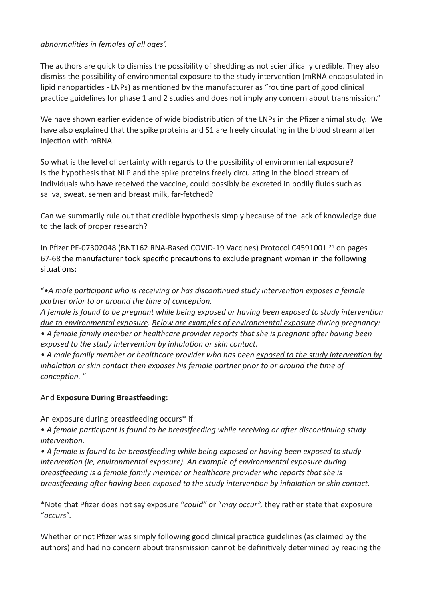#### *abnormalities in females of all ages'.*

The authors are quick to dismiss the possibility of shedding as not scientifically credible. They also dismiss the possibility of environmental exposure to the study intervention (mRNA encapsulated in lipid nanoparticles - LNPs) as mentioned by the manufacturer as "routine part of good clinical practice guidelines for phase 1 and 2 studies and does not imply any concern about transmission."

We have shown earlier evidence of wide biodistribution of the LNPs in the Pfizer animal study. We have also explained that the spike proteins and S1 are freely circulating in the blood stream after injection with mRNA.

So what is the level of certainty with regards to the possibility of environmental exposure? Is the hypothesis that NLP and the spike proteins freely circulating in the blood stream of individuals who have received the vaccine, could possibly be excreted in bodily fluids such as saliva, sweat, semen and breast milk, far-fetched?

Can we summarily rule out that credible hypothesis simply because of the lack of knowledge due to the lack of proper research?

In Pfizer PF-07302048 (BNT162 RNA-Based COVID-19 Vaccines) Protocol C4591001 21 on pages 67-68 the manufacturer took specific precautions to exclude pregnant woman in the following situations:

"*•A male participant who is receiving or has discontinued study intervention exposes a female partner prior to or around the time of conception.* 

*A female is found to be pregnant while being exposed or having been exposed to study intervention due to environmental exposure. Below are examples of environmental exposure during pregnancy: • A female family member or healthcare provider reports that she is pregnant after having been exposed to the study intervention by inhalation or skin contact.* 

*• A male family member or healthcare provider who has been exposed to the study intervention by inhalation or skin contact then exposes his female partner prior to or around the time of conception.* "

### And **Exposure During Breastfeeding:**

An exposure during breastfeeding occurs\* if:

• *A female participant is found to be breastfeeding while receiving or after discontinuing study intervention.* 

*• A female is found to be breastfeeding while being exposed or having been exposed to study intervention (ie, environmental exposure). An example of environmental exposure during breastfeeding is a female family member or healthcare provider who reports that she is breastfeeding after having been exposed to the study intervention by inhalation or skin contact.* 

\*Note that Pfizer does not say exposure "*could"* or "*may occur",* they rather state that exposure "*occurs*".

Whether or not Pfizer was simply following good clinical practice guidelines (as claimed by the authors) and had no concern about transmission cannot be definitively determined by reading the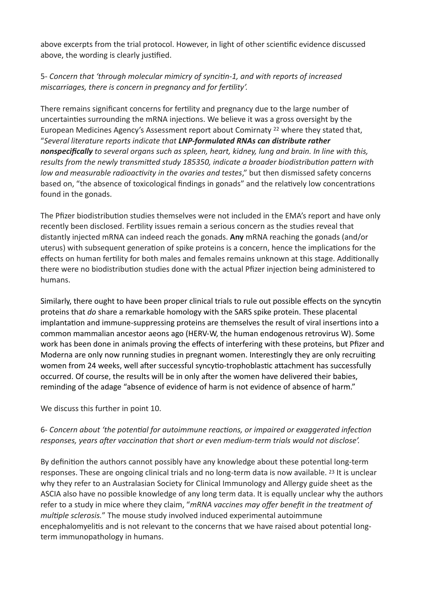above excerpts from the trial protocol. However, in light of other scientific evidence discussed above, the wording is clearly justified.

### 5- *Concern that 'through molecular mimicry of syncitin-1, and with reports of increased miscarriages, there is concern in pregnancy and for fertility'.*

There remains significant concerns for fertility and pregnancy due to the large number of uncertainties surrounding the mRNA injections. We believe it was a gross oversight by the European Medicines Agency's Assessment report about Comirnaty 22 where they stated that, "*Several literature reports indicate that LNP-formulated RNAs can distribute rather nonspecifically to several organs such as spleen, heart, kidney, lung and brain. In line with this, results from the newly transmitted study 185350, indicate a broader biodistribution pattern with low and measurable radioactivity in the ovaries and testes*," but then dismissed safety concerns based on, "the absence of toxicological findings in gonads" and the relatively low concentrations found in the gonads.

The Pfizer biodistribution studies themselves were not included in the EMA's report and have only recently been disclosed. Fertility issues remain a serious concern as the studies reveal that distantly injected mRNA can indeed reach the gonads. **Any** mRNA reaching the gonads (and/or uterus) with subsequent generation of spike proteins is a concern, hence the implications for the effects on human fertility for both males and females remains unknown at this stage. Additionally there were no biodistribution studies done with the actual Pfizer injection being administered to humans.

Similarly, there ought to have been proper clinical trials to rule out possible effects on the syncytin proteins that *do* share a remarkable homology with the SARS spike protein. These placental implantation and immune-suppressing proteins are themselves the result of viral insertions into a common mammalian ancestor aeons ago (HERV-W, the human endogenous retrovirus W). Some work has been done in animals proving the effects of interfering with these proteins, but Pfizer and Moderna are only now running studies in pregnant women. Interestingly they are only recruiting women from 24 weeks, well after successful syncytio-trophoblastic attachment has successfully occurred. Of course, the results will be in only after the women have delivered their babies, reminding of the adage "absence of evidence of harm is not evidence of absence of harm."

We discuss this further in point 10.

### 6- *Concern about 'the potential for autoimmune reactions, or impaired or exaggerated infection responses, years after vaccination that short or even medium-term trials would not disclose'.*

By definition the authors cannot possibly have any knowledge about these potential long-term responses. These are ongoing clinical trials and no long-term data is now available. 23 It is unclear why they refer to an Australasian Society for Clinical Immunology and Allergy guide sheet as the ASCIA also have no possible knowledge of any long term data. It is equally unclear why the authors refer to a study in mice where they claim, "*mRNA vaccines may offer benefit in the treatment of multiple sclerosis.*" The mouse study involved induced experimental autoimmune encephalomyelitis and is not relevant to the concerns that we have raised about potential longterm immunopathology in humans.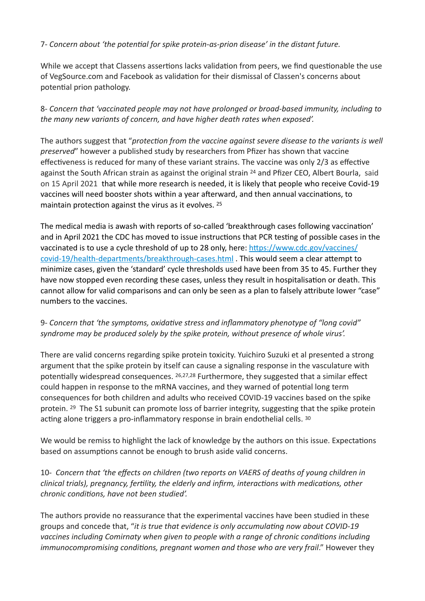#### 7- *Concern about 'the potential for spike protein-as-prion disease' in the distant future.*

While we accept that Classens assertions lacks validation from peers, we find questionable the use of VegSource.com and Facebook as validation for their dismissal of Classen's concerns about potential prion pathology.

8- *Concern that 'vaccinated people may not have prolonged or broad-based immunity, including to the many new variants of concern, and have higher death rates when exposed'.* 

The authors suggest that "*protection from the vaccine against severe disease to the variants is well preserved*" however a published study by researchers from Pfizer has shown that vaccine effectiveness is reduced for many of these variant strains. The vaccine was only 2/3 as effective against the South African strain as against the original strain 24 and Pfizer CEO, Albert Bourla, said on 15 April 2021 that while more research is needed, it is likely that people who receive Covid-19 vaccines will need booster shots within a year afterward, and then annual vaccinations, to maintain protection against the virus as it evolves. 25

The medical media is awash with reports of so-called 'breakthrough cases following vaccination' and in April 2021 the CDC has moved to issue instructions that PCR testing of possible cases in the vaccinated is to use a cycle threshold of up to 28 only, here: [https://www.cdc.gov/vaccines/](https://www.cdc.gov/vaccines/covid-19/health-departments/breakthrough-cases.html) [covid-19/health-departments/breakthrough-cases.html](https://www.cdc.gov/vaccines/covid-19/health-departments/breakthrough-cases.html) . This would seem a clear attempt to minimize cases, given the 'standard' cycle thresholds used have been from 35 to 45. Further they have now stopped even recording these cases, unless they result in hospitalisation or death. This cannot allow for valid comparisons and can only be seen as a plan to falsely attribute lower "case" numbers to the vaccines.

### 9- *Concern that 'the symptoms, oxidative stress and inflammatory phenotype of "long covid" syndrome may be produced solely by the spike protein, without presence of whole virus'.*

There are valid concerns regarding spike protein toxicity. Yuichiro Suzuki et al presented a strong argument that the spike protein by itself can cause a signaling response in the vasculature with potentially widespread consequences. 26,27,28 Furthermore, they suggested that a similar effect could happen in response to the mRNA vaccines, and they warned of potential long term consequences for both children and adults who received COVID-19 vaccines based on the spike protein. 29 The S1 subunit can promote loss of barrier integrity, suggesting that the spike protein acting alone triggers a pro-inflammatory response in brain endothelial cells. 30

We would be remiss to highlight the lack of knowledge by the authors on this issue. Expectations based on assumptions cannot be enough to brush aside valid concerns.

10- *Concern that 'the effects on children (two reports on VAERS of deaths of young children in clinical trials), pregnancy, fertility, the elderly and infirm, interactions with medications, other chronic conditions, have not been studied'.* 

The authors provide no reassurance that the experimental vaccines have been studied in these groups and concede that, "*it is true that evidence is only accumulating now about COVID-19 vaccines including Comirnaty when given to people with a range of chronic conditions including immunocompromising conditions, pregnant women and those who are very frail.*" However they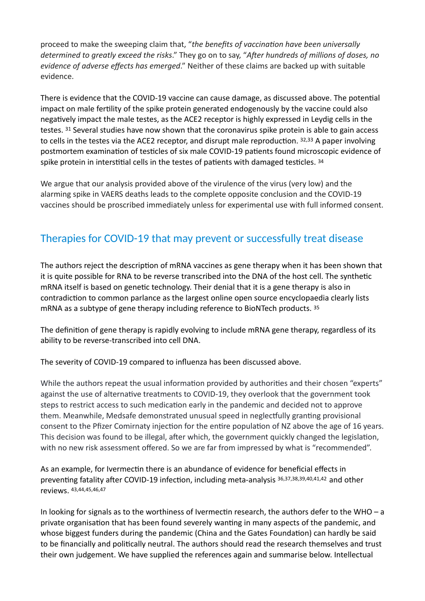proceed to make the sweeping claim that, "*the benefits of vaccination have been universally determined to greatly exceed the risks*." They go on to say, "*After hundreds of millions of doses, no evidence of adverse effects has emerged*." Neither of these claims are backed up with suitable evidence.

There is evidence that the COVID-19 vaccine can cause damage, as discussed above. The potential impact on male fertility of the spike protein generated endogenously by the vaccine could also negatively impact the male testes, as the ACE2 receptor is highly expressed in Leydig cells in the testes. 31 Several studies have now shown that the coronavirus spike protein is able to gain access to cells in the testes via the ACE2 receptor, and disrupt male reproduction. 32,33 A paper involving postmortem examination of testicles of six male COVID-19 patients found microscopic evidence of spike protein in interstitial cells in the testes of patients with damaged testicles.  $34$ 

We argue that our analysis provided above of the virulence of the virus (very low) and the alarming spike in VAERS deaths leads to the complete opposite conclusion and the COVID-19 vaccines should be proscribed immediately unless for experimental use with full informed consent.

# Therapies for COVID-19 that may prevent or successfully treat disease

The authors reject the description of mRNA vaccines as gene therapy when it has been shown that it is quite possible for RNA to be reverse transcribed into the DNA of the host cell. The synthetic mRNA itself is based on genetic technology. Their denial that it is a gene therapy is also in contradiction to common parlance as the largest online open source encyclopaedia clearly lists mRNA as a subtype of gene therapy including reference to BioNTech products. 35

The definition of gene therapy is rapidly evolving to include mRNA gene therapy, regardless of its ability to be reverse-transcribed into cell DNA.

The severity of COVID-19 compared to influenza has been discussed above.

While the authors repeat the usual information provided by authorities and their chosen "experts" against the use of alternative treatments to COVID-19, they overlook that the government took steps to restrict access to such medication early in the pandemic and decided not to approve them. Meanwhile, Medsafe demonstrated unusual speed in neglectfully granting provisional consent to the Pfizer Comirnaty injection for the entire population of NZ above the age of 16 years. This decision was found to be illegal, after which, the government quickly changed the legislation, with no new risk assessment offered. So we are far from impressed by what is "recommended".

As an example, for Ivermectin there is an abundance of evidence for beneficial effects in preventing fatality after COVID-19 infection, including meta-analysis 36,37,38,39,40,41,42 and other reviews. 43,44,45,46,47

In looking for signals as to the worthiness of Ivermectin research, the authors defer to the WHO – a private organisation that has been found severely wanting in many aspects of the pandemic, and whose biggest funders during the pandemic (China and the Gates Foundation) can hardly be said to be financially and politically neutral. The authors should read the research themselves and trust their own judgement. We have supplied the references again and summarise below. Intellectual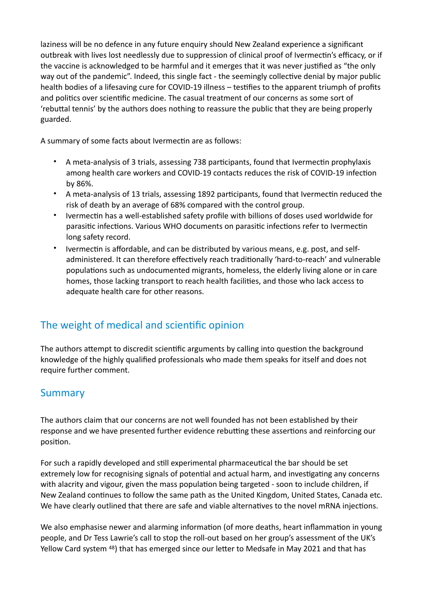laziness will be no defence in any future enquiry should New Zealand experience a significant outbreak with lives lost needlessly due to suppression of clinical proof of Ivermectin's efficacy, or if the vaccine is acknowledged to be harmful and it emerges that it was never justified as "the only way out of the pandemic". Indeed, this single fact - the seemingly collective denial by major public health bodies of a lifesaving cure for COVID-19 illness – testifies to the apparent triumph of profits and politics over scientific medicine. The casual treatment of our concerns as some sort of 'rebuttal tennis' by the authors does nothing to reassure the public that they are being properly guarded.

A summary of some facts about Ivermectin are as follows:

- A meta-analysis of 3 trials, assessing 738 participants, found that Ivermectin prophylaxis among health care workers and COVID-19 contacts reduces the risk of COVID-19 infection by 86%.
- A meta-analysis of 13 trials, assessing 1892 participants, found that Ivermectin reduced the risk of death by an average of 68% compared with the control group.
- Ivermectin has a well-established safety profile with billions of doses used worldwide for parasitic infections. Various WHO documents on parasitic infections refer to Ivermectin long safety record.
- Ivermectin is affordable, and can be distributed by various means, e.g. post, and selfadministered. It can therefore effectively reach traditionally 'hard-to-reach' and vulnerable populations such as undocumented migrants, homeless, the elderly living alone or in care homes, those lacking transport to reach health facilities, and those who lack access to adequate health care for other reasons.

# The weight of medical and scientific opinion

The authors attempt to discredit scientific arguments by calling into question the background knowledge of the highly qualified professionals who made them speaks for itself and does not require further comment.

## Summary

The authors claim that our concerns are not well founded has not been established by their response and we have presented further evidence rebutting these assertions and reinforcing our position.

For such a rapidly developed and still experimental pharmaceutical the bar should be set extremely low for recognising signals of potential and actual harm, and investigating any concerns with alacrity and vigour, given the mass population being targeted - soon to include children, if New Zealand continues to follow the same path as the United Kingdom, United States, Canada etc. We have clearly outlined that there are safe and viable alternatives to the novel mRNA injections.

We also emphasise newer and alarming information (of more deaths, heart inflammation in young people, and Dr Tess Lawrie's call to stop the roll-out based on her group's assessment of the UK's Yellow Card system 48) that has emerged since our letter to Medsafe in May 2021 and that has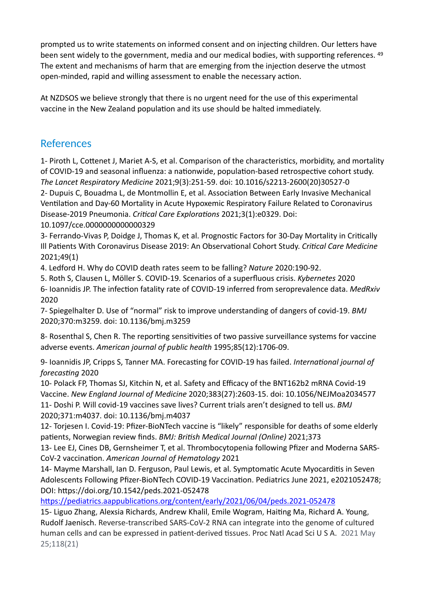prompted us to write statements on informed consent and on injecting children. Our letters have been sent widely to the government, media and our medical bodies, with supporting references. 49 The extent and mechanisms of harm that are emerging from the injection deserve the utmost open-minded, rapid and willing assessment to enable the necessary action.

At NZDSOS we believe strongly that there is no urgent need for the use of this experimental vaccine in the New Zealand population and its use should be halted immediately.

## References

1- Piroth L, Cottenet J, Mariet A-S, et al. Comparison of the characteristics, morbidity, and mortality of COVID-19 and seasonal influenza: a nationwide, population-based retrospective cohort study. *The Lancet Respiratory Medicine* 2021;9(3):251-59. doi: 10.1016/s2213-2600(20)30527-0 2- Dupuis C, Bouadma L, de Montmollin E, et al. Association Between Early Invasive Mechanical Ventilation and Day-60 Mortality in Acute Hypoxemic Respiratory Failure Related to Coronavirus Disease-2019 Pneumonia. *Critical Care Explorations* 2021;3(1):e0329. Doi: 10.1097/cce.0000000000000329

3- Ferrando-Vivas P, Doidge J, Thomas K, et al. Prognostic Factors for 30-Day Mortality in Critically Ill Patients With Coronavirus Disease 2019: An Observational Cohort Study. *Critical Care Medicine* 2021;49(1)

4. Ledford H. Why do COVID death rates seem to be falling? *Nature* 2020:190-92.

5. Roth S, Clausen L, Möller S. COVID-19. Scenarios of a superfluous crisis. *Kybernetes* 2020 6- Ioannidis JP. The infection fatality rate of COVID-19 inferred from seroprevalence data. *MedRxiv* 2020

7- Spiegelhalter D. Use of "normal" risk to improve understanding of dangers of covid-19. *BMJ* 2020;370:m3259. doi: 10.1136/bmj.m3259

8- Rosenthal S, Chen R. The reporting sensitivities of two passive surveillance systems for vaccine adverse events. *American journal of public health* 1995;85(12):1706-09.

9- Ioannidis JP, Cripps S, Tanner MA. Forecasting for COVID-19 has failed. *International journal of forecasting* 2020

10- Polack FP, Thomas SJ, Kitchin N, et al. Safety and Efficacy of the BNT162b2 mRNA Covid-19 Vaccine. *New England Journal of Medicine* 2020;383(27):2603-15. doi: 10.1056/NEJMoa2034577 11- Doshi P. Will covid-19 vaccines save lives? Current trials aren't designed to tell us. *BMJ*

2020;371:m4037. doi: 10.1136/bmj.m4037 12- Torjesen I. Covid-19: Pfizer-BioNTech vaccine is "likely" responsible for deaths of some elderly

patients, Norwegian review finds. *BMJ: British Medical Journal (Online)* 2021;373

13- Lee EJ, Cines DB, Gernsheimer T, et al. Thrombocytopenia following Pfizer and Moderna SARS-CoV-2 vaccination. *American Journal of Hematology* 2021

14- Mayme Marshall, Ian D. Ferguson, Paul Lewis, et al. Symptomatic Acute Myocarditis in Seven Adolescents Following Pfizer-BioNTech COVID-19 Vaccination. Pediatrics June 2021, e2021052478; DOI: https://doi.org/10.1542/peds.2021-052478

<https://pediatrics.aappublications.org/content/early/2021/06/04/peds.2021-052478>

15- Liguo Zhang, Alexsia Richards, Andrew Khalil, Emile Wogram, Haiting Ma, Richard A. Young, Rudolf Jaenisch. Reverse-transcribed SARS-CoV-2 RNA can integrate into the genome of cultured human cells and can be expressed in patient-derived tissues. Proc Natl Acad Sci U S A. 2021 May 25;118(21)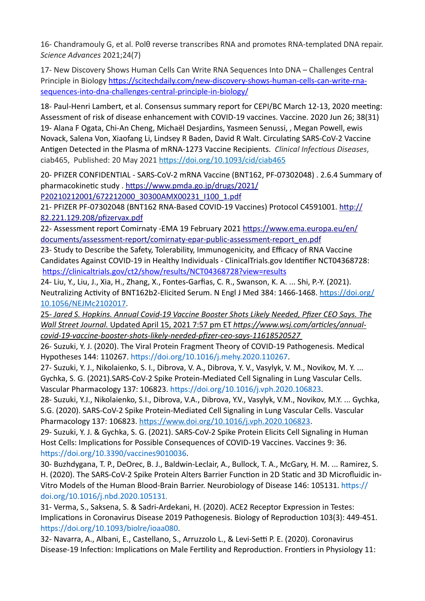16- Chandramouly G, et al. Polθ reverse transcribes RNA and promotes RNA-templated DNA repair. *Science Advances* 2021;24(7)

17- New Discovery Shows Human Cells Can Write RNA Sequences Into DNA – Challenges Central Principle in Biology [https://scitechdaily.com/new-discovery-shows-human-cells-can-write-rna](https://scitechdaily.com/new-discovery-shows-human-cells-can-write-rna-sequences-into-dna-challenges-central-principle-in-biology/)[sequences-into-dna-challenges-central-principle-in-biology/](https://scitechdaily.com/new-discovery-shows-human-cells-can-write-rna-sequences-into-dna-challenges-central-principle-in-biology/)

18- Paul-Henri Lambert, et al. Consensus summary report for CEPI/BC March 12-13, 2020 meeting: Assessment of risk of disease enhancement with COVID-19 vaccines. Vaccine. 2020 Jun 26; 38(31) 19- Alana F Ogata, Chi-An Cheng, Michaël Desjardins, Yasmeen Senussi, , Megan Powell, ewis Novack, Salena Von, Xiaofang Li, Lindsey R Baden, David R Walt. Circulating SARS-CoV-2 Vaccine Antigen Detected in the Plasma of mRNA-1273 Vaccine Recipients. *Clinical Infectious Diseases*, ciab465, Published: 20 May 2021 <https://doi.org/10.1093/cid/ciab465>

20- PFIZER CONFIDENTIAL - SARS-CoV-2 mRNA Vaccine (BNT162, PF-07302048) . 2.6.4 Summary of pharmacokinetic study . [https://www.pmda.go.jp/drugs/2021/](https://www.pmda.go.jp/drugs/2021/P20210212001/672212000_30300AMX00231_I100_1.pdf) [P20210212001/672212000\\_30300AMX00231\\_I100\\_1.pdf](https://www.pmda.go.jp/drugs/2021/P20210212001/672212000_30300AMX00231_I100_1.pdf)

21- PFIZER PF-07302048 (BNT162 RNA-Based COVID-19 Vaccines) Protocol C4591001. [http://](http://82.221.129.208/pfizervax.pdf) [82.221.129.208/pfizervax.pdf](http://82.221.129.208/pfizervax.pdf)

22- Assessment report Comirnaty -EMA 19 February 2021 [https://www.ema.europa.eu/en/](https://www.ema.europa.eu/en/documents/assessment-report/comirnaty-epar-public-assessment-report_en.pdf) [documents/assessment-report/comirnaty-epar-public-assessment-report\\_en.pdf](https://www.ema.europa.eu/en/documents/assessment-report/comirnaty-epar-public-assessment-report_en.pdf)

23- Study to Describe the Safety, Tolerability, Immunogenicity, and Efficacy of RNA Vaccine Candidates Against COVID-19 in Healthy Individuals - ClinicalTrials.gov Identifier NCT04368728: <https://clinicaltrials.gov/ct2/show/results/NCT04368728?view=results>

24- Liu, Y., Liu, J., Xia, H., Zhang, X., Fontes-Garfias, C. R., Swanson, K. A. ... Shi, P.-Y. (2021). Neutralizing Activity of BNT162b2-Elicited Serum. N Engl J Med 384: 1466-1468. [https://doi.org/](https://doi.org/10.1056/NEJMc2102017) [10.1056/NEJMc2102017](https://doi.org/10.1056/NEJMc2102017).

25- *Jared S. Hopkins. Annual Covid-19 Vaccine Booster Shots Likely Needed, Pfizer CEO Says. The Wall Street Journal.* Updated April 15, 2021 7:57 pm ET *[https://www.wsj.com/articles/annual](https://www.wsj.com/articles/annual-covid-19-vaccine-booster-shots-likely-needed-pfizer-ceo-says-11618520527)[covid-19-vaccine-booster-shots-likely-needed-pfizer-ceo-says-11618520527](https://www.wsj.com/articles/annual-covid-19-vaccine-booster-shots-likely-needed-pfizer-ceo-says-11618520527)* 

26- Suzuki, Y. J. (2020). The Viral Protein Fragment Theory of COVID-19 Pathogenesis. Medical Hypotheses 144: 110267. https://doi.org/10.1016/j.mehy.2020.110267.

27- Suzuki, Y. J., Nikolaienko, S. I., Dibrova, V. A., Dibrova, Y. V., Vasylyk, V. M., Novikov, M. Y. ... Gychka, S. G. (2021).SARS-CoV-2 Spike Protein-Mediated Cell Signaling in Lung Vascular Cells. Vascular Pharmacology 137: 106823. https://doi.org/10.1016/j.vph.2020.106823.

28- Suzuki, Y.J., Nikolaienko, S.I., Dibrova, V.A., Dibrova, Y.V., Vasylyk, V.M., Novikov, M.Y. ... Gychka, S.G. (2020). SARS-CoV-2 Spike Protein-Mediated Cell Signaling in Lung Vascular Cells. Vascular Pharmacology 137: 106823.<https://www.doi.org/10.1016/j.vph.2020.106823>.

29- Suzuki, Y. J. & Gychka, S. G. (2021). SARS-CoV-2 Spike Protein Elicits Cell Signaling in Human Host Cells: Implications for Possible Consequences of COVID-19 Vaccines. Vaccines 9: 36. https://doi.org/10.3390/vaccines9010036.

30- Buzhdygana, T. P., DeOrec, B. J., Baldwin-Leclair, A., Bullock, T. A., McGary, H. M. ... Ramirez, S. H. (2020). The SARS-CoV-2 Spike Protein Alters Barrier Function in 2D Static and 3D Microfluidic in-Vitro Models of the Human Blood-Brain Barrier. Neurobiology of Disease 146: 105131. [https://](https://doi.org/10.1016/j.nbd.2020.105131) [doi.org/10.1016/j.nbd.2020.105131](https://doi.org/10.1016/j.nbd.2020.105131).

31- Verma, S., Saksena, S. & Sadri-Ardekani, H. (2020). ACE2 Receptor Expression in Testes: Implications in Coronavirus Disease 2019 Pathogenesis. Biology of Reproduction 103(3): 449-451. https://doi.org/10.1093/biolre/ioaa080.

32- Navarra, A., Albani, E., Castellano, S., Arruzzolo L., & Levi-Setti P. E. (2020). Coronavirus Disease-19 Infection: Implications on Male Fertility and Reproduction. Frontiers in Physiology 11: